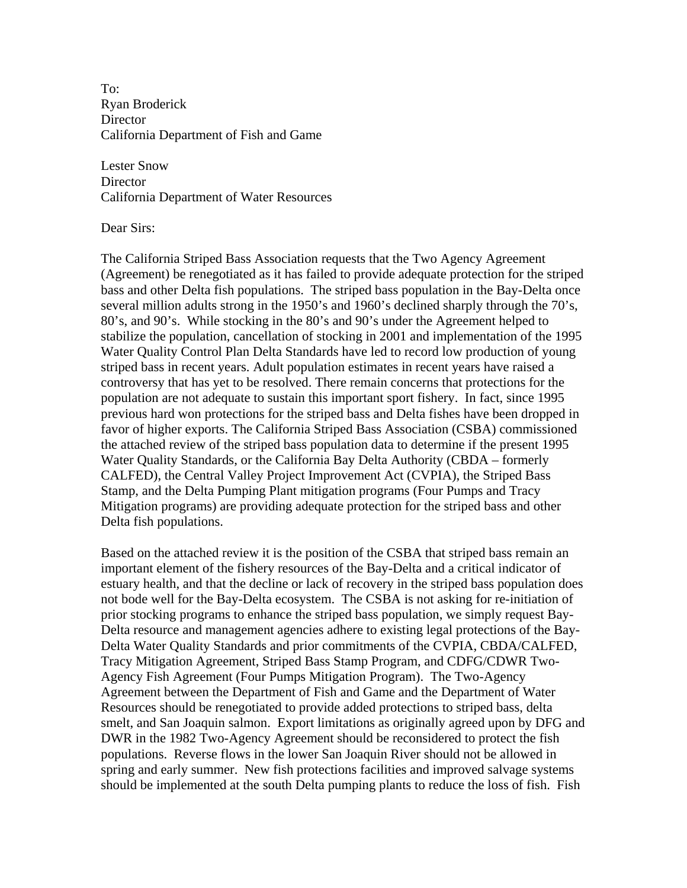To: Ryan Broderick **Director** California Department of Fish and Game

Lester Snow **Director** California Department of Water Resources

Dear Sirs:

The California Striped Bass Association requests that the Two Agency Agreement (Agreement) be renegotiated as it has failed to provide adequate protection for the striped bass and other Delta fish populations. The striped bass population in the Bay-Delta once several million adults strong in the 1950's and 1960's declined sharply through the 70's, 80's, and 90's. While stocking in the 80's and 90's under the Agreement helped to stabilize the population, cancellation of stocking in 2001 and implementation of the 1995 Water Quality Control Plan Delta Standards have led to record low production of young striped bass in recent years. Adult population estimates in recent years have raised a controversy that has yet to be resolved. There remain concerns that protections for the population are not adequate to sustain this important sport fishery. In fact, since 1995 previous hard won protections for the striped bass and Delta fishes have been dropped in favor of higher exports. The California Striped Bass Association (CSBA) commissioned the attached review of the striped bass population data to determine if the present 1995 Water Quality Standards, or the California Bay Delta Authority (CBDA – formerly CALFED), the Central Valley Project Improvement Act (CVPIA), the Striped Bass Stamp, and the Delta Pumping Plant mitigation programs (Four Pumps and Tracy Mitigation programs) are providing adequate protection for the striped bass and other Delta fish populations.

Based on the attached review it is the position of the CSBA that striped bass remain an important element of the fishery resources of the Bay-Delta and a critical indicator of estuary health, and that the decline or lack of recovery in the striped bass population does not bode well for the Bay-Delta ecosystem. The CSBA is not asking for re-initiation of prior stocking programs to enhance the striped bass population, we simply request Bay-Delta resource and management agencies adhere to existing legal protections of the Bay-Delta Water Quality Standards and prior commitments of the CVPIA, CBDA/CALFED, Tracy Mitigation Agreement, Striped Bass Stamp Program, and CDFG/CDWR Two-Agency Fish Agreement (Four Pumps Mitigation Program). The Two-Agency Agreement between the Department of Fish and Game and the Department of Water Resources should be renegotiated to provide added protections to striped bass, delta smelt, and San Joaquin salmon. Export limitations as originally agreed upon by DFG and DWR in the 1982 Two-Agency Agreement should be reconsidered to protect the fish populations. Reverse flows in the lower San Joaquin River should not be allowed in spring and early summer. New fish protections facilities and improved salvage systems should be implemented at the south Delta pumping plants to reduce the loss of fish. Fish